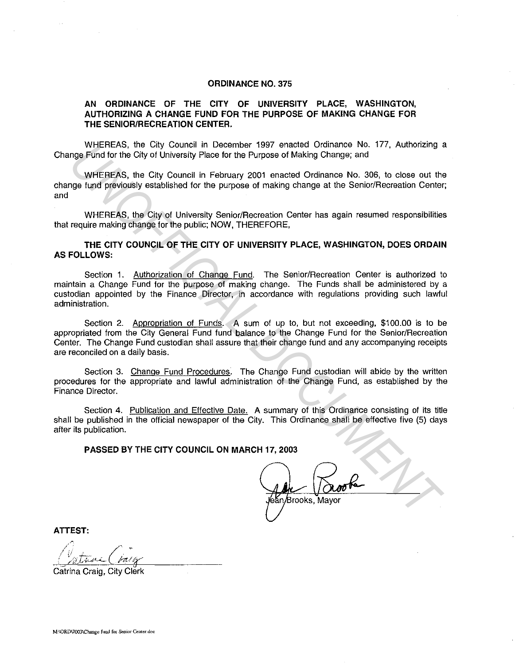## **ORDINANCE NO. 375**

## **AN ORDINANCE OF THE CITY OF UNIVERSITY PLACE, WASHINGTON, AUTHORIZING A CHANGE FUND FOR THE PURPOSE OF MAKING CHANGE FOR THE SENIOR/RECREATION CENTER.**

WHEREAS, the City Council in December 1997 enacted Ordinance No. 177, Authorizing a Change Fund for the City of University Place for the Purpose of Making Change; and

WHEREAS, the City Council in February 2001 enacted Ordinance No. 306, to close out the change fund previously established for the purpose of making change at the Senior/Recreation Center; and

WHEREAS, the City of University Senior/Recreation Center has again resumed responsibilities that require making change for the public; NOW, THEREFORE,

## **THE CITY COUNCIL OF THE CITY OF UNIVERSITY PLACE, WASHINGTON, DOES ORDAIN AS FOLLOWS:**

Section 1. Authorization of Change Fund. The Senior/Recreation Center is authorized to maintain a Change Fund for the purpose of making change. The Funds shall be administered by a custodian appointed by the Finance Director, in accordance with regulations providing such lawful administration.

Section 2. Appropriation of Funds. A sum of up to, but not exceeding, \$100.00 is to be appropriated from the City General Fund fund balance to the Change Fund for the Senior/Recreation Center. The Change Fund custodian shall assure that their change fund and any accompanying receipts are reconciled on a daily basis. WHEREAS, the City Counteil in December 1ser of Particular prior Communication of the City of University Place for the Purpose of Making Change; and<br>WHEREAS, the City Council in February 2001 enacted Ordinance No. 306, to c

Section 3. Change Fund Procedures. The Change Fund custodian will abide by the written procedures for the appropriate and lawful administration of the Change Fund, as established by the Finance Director.

Section 4. Publication and Effective Date. A summary of this Ordinance consisting of its title shall be published in the official newspaper of the City. This Ordinance shall be effective five (5) days after its publication.

**PASSED BY THE CITY COUNCIL ON MARCH 17, 2003** 

**ATTEST:** 

Catrina Craig, City Clerk